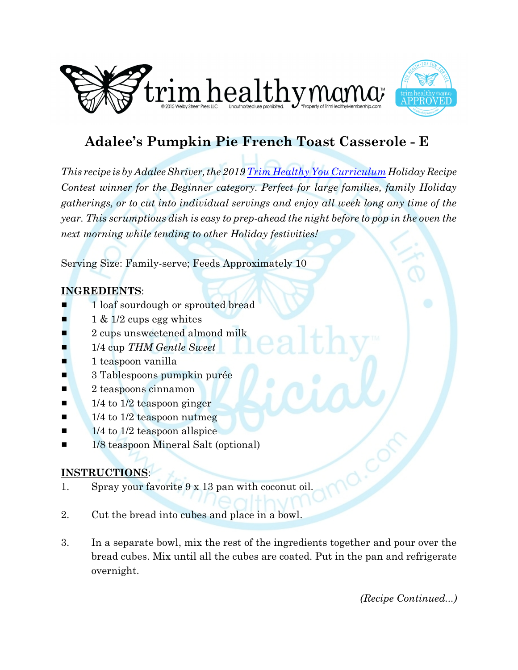



## **Adalee's Pumpkin Pie French Toast Casserole - E**

*This recipe is by Adalee Shriver, the 2019 [Trim Healthy You Curriculum](https://trimhealthyyou.net/)Holiday Recipe Contest winner for the Beginner category. Perfect for large families, family Holiday gatherings, or to cut into individual servings and enjoy all week long any time of the year. This scrumptious dish is easy to prep-ahead the night before to pop in the oven the next morning while tending to other Holiday festivities!*

Serving Size: Family-serve; Feeds Approximately 10

## **INGREDIENTS**:

- 1 loaf sourdough or sprouted bread
- $1 \& 1/2$  cups egg whites
- 2 cups unsweetened almond milk
- 1/4 cup THM Gentle Sweet
- $\blacksquare$  1 teaspoon vanilla
- $\blacksquare$  3 Tablespoons pumpkin purée
- **2** teaspoons cinnamon
- $\blacksquare$  1/4 to 1/2 teaspoon ginger
- $\blacksquare$  1/4 to 1/2 teaspoon nutmeg
- $\blacksquare$  1/4 to 1/2 teaspoon allspice
- 1/8 teaspoon Mineral Salt (optional)

## **INSTRUCTIONS**:

- 1. Spray your favorite 9 x 13 pan with coconut oil.
- 2. Cut the bread into cubes and place in a bowl.
- 3. In a separate bowl, mix the rest of the ingredients together and pour over the bread cubes. Mix until all the cubes are coated. Put in the pan and refrigerate overnight.

*(Recipe Continued...)*